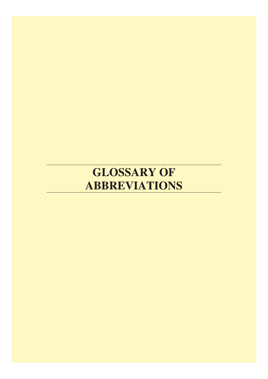## **GLOSSARY OF ABBREVIATIONS**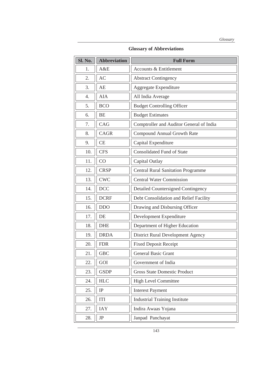**Glossary of Abbreviations** 

| Sl. No. | <b>Abbreviation</b> | <b>Full Form</b>                          |
|---------|---------------------|-------------------------------------------|
| 1.      | A&E                 | <b>Accounts &amp; Entitlement</b>         |
| 2.      | AC                  | <b>Abstract Contingency</b>               |
| 3.      | AE                  | Aggregate Expenditure                     |
| 4.      | <b>AIA</b>          | All India Average                         |
| 5.      | <b>BCO</b>          | <b>Budget Controlling Officer</b>         |
| 6.      | <b>BE</b>           | <b>Budget Estimates</b>                   |
| 7.      | CAG                 | Comptroller and Auditor General of India  |
| 8.      | CAGR                | Compound Annual Growth Rate               |
| 9.      | CE                  | Capital Expenditure                       |
| 10.     | <b>CFS</b>          | <b>Consolidated Fund of State</b>         |
| 11.     | CO                  | Capital Outlay                            |
| 12.     | <b>CRSP</b>         | <b>Central Rural Sanitation Programme</b> |
| 13.     | <b>CWC</b>          | <b>Central Water Commission</b>           |
| 14.     | <b>DCC</b>          | <b>Detailed Countersigned Contingency</b> |
| 15.     | <b>DCRF</b>         | Debt Consolidation and Relief Facility    |
| 16.     | <b>DDO</b>          | Drawing and Disbursing Officer            |
| 17.     | DE                  | Development Expenditure                   |
| 18.     | <b>DHE</b>          | Department of Higher Education            |
| 19.     | <b>DRDA</b>         | District Rural Development Agency         |
| 20.     | <b>FDR</b>          | <b>Fixed Deposit Receipt</b>              |
| 21.     | <b>GBC</b>          | <b>General Basic Grant</b>                |
| 22.     | GOI                 | Government of India                       |
| 23.     | <b>GSDP</b>         | <b>Gross State Domestic Product</b>       |
| 24.     | <b>HLC</b>          | <b>High Level Committee</b>               |
| 25.     | IP                  | <b>Interest Payment</b>                   |
| 26.     | <b>ITI</b>          | <b>Industrial Training Institute</b>      |
| 27.     | <b>IAY</b>          | Indira Awaas Yojana                       |
| 28.     | $\rm{JP}$           | Janpad Panchayat                          |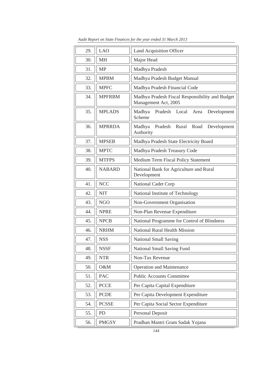| 29. | <b>LAO</b>    | Land Acquisition Officer                                                |
|-----|---------------|-------------------------------------------------------------------------|
| 30. | <b>MH</b>     | Major Head                                                              |
| 31. | <b>MP</b>     | Madhya Pradesh                                                          |
| 32. | <b>MPBM</b>   | Madhya Pradesh Budget Manual                                            |
| 33. | <b>MPFC</b>   | Madhya Pradesh Financial Code                                           |
| 34. | <b>MPFRBM</b> | Madhya Pradesh Fiscal Responsibility and Budget<br>Management Act, 2005 |
| 35. | <b>MPLADS</b> | Pradesh<br>Madhya<br>Local<br>Development<br>Area<br>Scheme             |
| 36. | <b>MPRRDA</b> | Pradesh<br>Rural<br>Road<br>Madhya<br>Development<br>Authority          |
| 37. | <b>MPSEB</b>  | Madhya Pradesh State Electricity Board                                  |
| 38. | <b>MPTC</b>   | Madhya Pradesh Treasury Code                                            |
| 39. | <b>MTFPS</b>  | Medium Term Fiscal Policy Statement                                     |
| 40. | <b>NABARD</b> | National Bank for Agriculture and Rural<br>Development                  |
| 41. | <b>NCC</b>    | National Cadet Corp                                                     |
| 42. | <b>NIT</b>    | National Institute of Technology                                        |
| 43. | <b>NGO</b>    | Non-Government Organisation                                             |
| 44. | <b>NPRE</b>   | Non-Plan Revenue Expenditure                                            |
| 45. | <b>NPCB</b>   | National Programme for Control of Blindness                             |
| 46. | <b>NRHM</b>   | <b>National Rural Health Mission</b>                                    |
| 47. | <b>NSS</b>    | <b>National Small Saving</b>                                            |
| 48. | <b>NSSF</b>   | National Small Saving Fund                                              |
| 49. | <b>NTR</b>    | Non-Tax Revenue                                                         |
| 50. | O&M           | <b>Operation and Maintenance</b>                                        |
| 51. | <b>PAC</b>    | <b>Public Accounts Committee</b>                                        |
| 52. | <b>PCCE</b>   | Per Capita Capital Expenditure                                          |
| 53. | <b>PCDE</b>   | Per Capita Development Expenditure                                      |
| 54. | <b>PCSSE</b>  | Per Capita Social Sector Expenditure                                    |
| 55. | <b>PD</b>     | Personal Deposit                                                        |
| 56. | <b>PMGSY</b>  | Pradhan Mantri Gram Sadak Yojana                                        |

*Audit Report on State Finances for the year ended 31 March 2013*